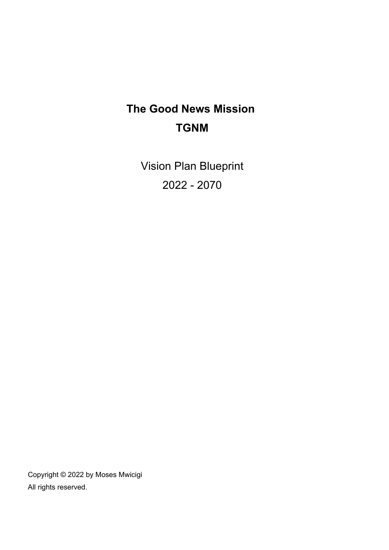# **The Good News Mission TGNM**

Vision Plan Blueprint 2022 - 2070

Copyright © 2022 by Moses Mwicigi All rights reserved.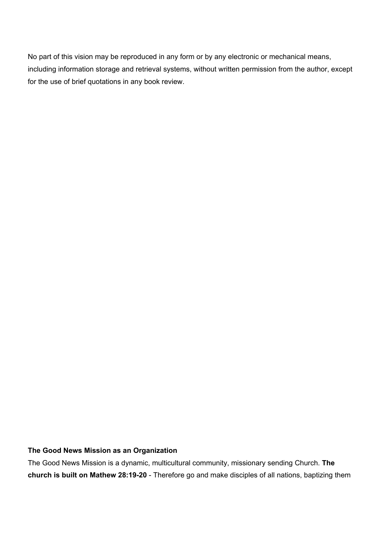No part of this vision may be reproduced in any form or by any electronic or mechanical means, including information storage and retrieval systems, without written permission from the author, except for the use of brief quotations in any book review.

### **The Good News Mission as an Organization**

The Good News Mission is a dynamic, multicultural community, missionary sending Church. **The church is built on Mathew 28:19-20** - Therefore go and make disciples of all nations, baptizing them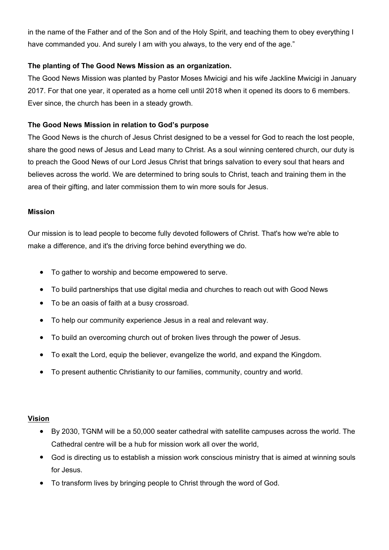in the name of the Father and of the Son and of the Holy Spirit, and teaching them to obey everything I have commanded you. And surely I am with you always, to the very end of the age."

# **The planting of The Good News Mission as an organization.**

The Good News Mission was planted by Pastor Moses Mwicigi and his wife Jackline Mwicigi in January 2017. For that one year, it operated as a home cell until 2018 when it opened its doors to 6 members. Ever since, the church has been in a steady growth.

# **The Good News Mission in relation to God's purpose**

The Good News is the church of Jesus Christ designed to be a vessel for God to reach the lost people, share the good news of Jesus and Lead many to Christ. As a soul winning centered church, our duty is to preach the Good News of our Lord Jesus Christ that brings salvation to every soul that hears and believes across the world. We are determined to bring souls to Christ, teach and training them in the area of their gifting, and later commission them to win more souls for Jesus.

# **Mission**

Our mission is to lead people to become fully devoted followers of Christ. That's how we're able to make a difference, and it's the driving force behind everything we do.

- To gather to worship and become empowered to serve.
- To build partnerships that use digital media and churches to reach out with Good News
- To be an oasis of faith at a busy crossroad.
- To help our community experience Jesus in a real and relevant way.
- To build an overcoming church out of broken lives through the power of Jesus.
- To exalt the Lord, equip the believer, evangelize the world, and expand the Kingdom.
- To present authentic Christianity to our families, community, country and world.

## **[Vision](https://onstrategyhq.com/resources/topic/vision-statements/)**

- By 2030, TGNM will be a 50,000 seater cathedral with satellite campuses across the world. The Cathedral centre will be a hub for mission work all over the world,
- God is directing us to establish a mission work conscious ministry that is aimed at winning souls for Jesus.
- To transform lives by bringing people to Christ through the word of God.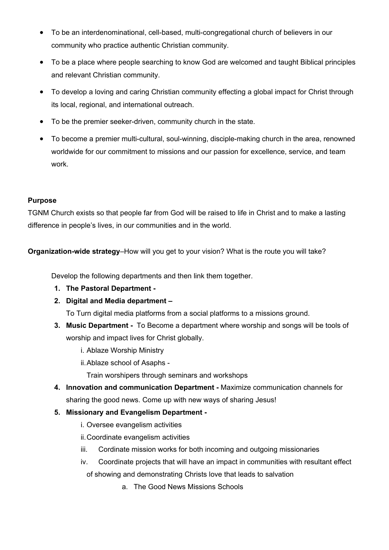- To be an interdenominational, cell-based, multi-congregational church of believers in our community who practice authentic Christian community.
- To be a place where people searching to know God are welcomed and taught Biblical principles and relevant Christian community.
- To develop a loving and caring Christian community effecting a global impact for Christ through its local, regional, and international outreach.
- To be the premier seeker-driven, community church in the state.
- To become a premier multi-cultural, soul-winning, disciple-making church in the area, renowned worldwide for our commitment to missions and our passion for excellence, service, and team work.

# **Purpose**

TGNM Church exists so that people far from God will be raised to life in Christ and to make a lasting difference in people's lives, in our communities and in the world.

**Organization-wide strategy**–How will you get to your vision? What is the route you will take?

Develop the following departments and then link them together.

- **1. The Pastoral Department**
- **2. Digital and Media department**

To Turn digital media platforms from a social platforms to a missions ground.

- **3. Music Department** To Become a department where worship and songs will be tools of worship and impact lives for Christ globally.
	- i. Ablaze Worship Ministry
	- ii.Ablaze school of Asaphs -

Train worshipers through seminars and workshops

**4. Innovation and communication Department -** Maximize communication channels for sharing the good news. Come up with new ways of sharing Jesus!

## **5. Missionary and Evangelism Department -**

- i. Oversee evangelism activities
- ii.Coordinate evangelism activities
- iii. Cordinate mission works for both incoming and outgoing missionaries
- iv. Coordinate projects that will have an impact in communities with resultant effect of showing and demonstrating Christs love that leads to salvation
	- a. The Good News Missions Schools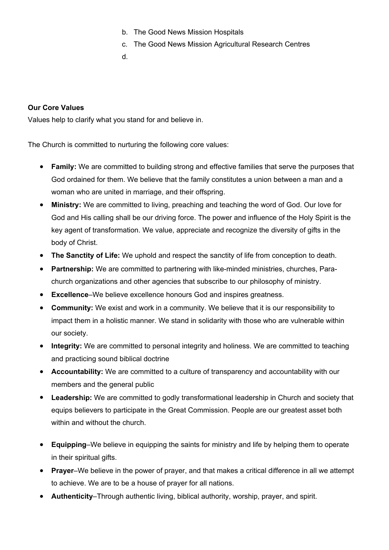- b. The Good News Mission Hospitals
- c. The Good News Mission Agricultural Research Centres
- d.

## **Our Core Values**

Values help to clarify what you stand for and believe in.

The Church is committed to nurturing the following core values:

- **Family:** We are committed to building strong and effective families that serve the purposes that God ordained for them. We believe that the family constitutes a union between a man and a woman who are united in marriage, and their offspring.
- **Ministry:** We are committed to living, preaching and teaching the word of God. Our love for God and His calling shall be our driving force. The power and influence of the Holy Spirit is the key agent of transformation. We value, appreciate and recognize the diversity of gifts in the body of Christ.
- **The Sanctity of Life:** We uphold and respect the sanctity of life from conception to death.
- **Partnership:** We are committed to partnering with like-minded ministries, churches, Parachurch organizations and other agencies that subscribe to our philosophy of ministry.
- **Excellence**–We believe excellence honours God and inspires greatness.
- **Community:** We exist and work in a community. We believe that it is our responsibility to impact them in a holistic manner. We stand in solidarity with those who are vulnerable within our society.
- **Integrity:** We are committed to personal integrity and holiness. We are committed to teaching and practicing sound biblical doctrine
- **Accountability:** We are committed to a culture of transparency and accountability with our members and the general public
- **Leadership:** We are committed to godly transformational leadership in Church and society that equips believers to participate in the Great Commission. People are our greatest asset both within and without the church.
- **Equipping**–We believe in equipping the saints for ministry and life by helping them to operate in their spiritual gifts.
- **Prayer**–We believe in the power of prayer, and that makes a critical difference in all we attempt to achieve. We are to be a house of prayer for all nations.
- **Authenticity**–Through authentic living, biblical authority, worship, prayer, and spirit.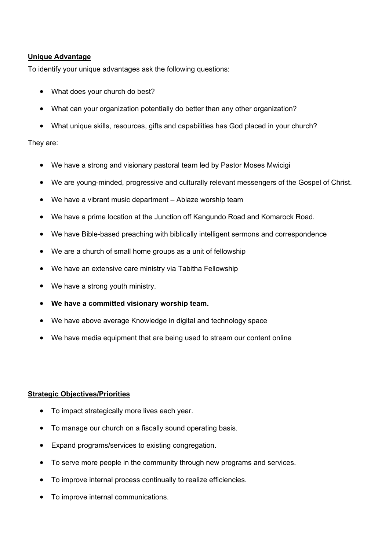## **[Unique Advantage](https://onstrategyhq.com/resources/how-to-develop-competitive-advantage/)**

To identify your unique advantages ask the following questions:

- What does your church do best?
- What can your organization potentially do better than any other organization?
- What unique skills, resources, gifts and capabilities has God placed in your church?

#### They are:

- We have a strong and visionary pastoral team led by Pastor Moses Mwicigi
- We are young-minded, progressive and culturally relevant messengers of the Gospel of Christ.
- We have a vibrant music department Ablaze worship team
- We have a prime location at the Junction off Kangundo Road and Komarock Road.
- We have Bible-based preaching with biblically intelligent sermons and correspondence
- We are a church of small home groups as a unit of fellowship
- We have an extensive care ministry via Tabitha Fellowship
- We have a strong youth ministry.
- We have a committed visionary worship team.
- We have above average Knowledge in digital and technology space
- We have media equipment that are being used to stream our content online

#### **[Strategic Objectives/Priorities](https://onstrategyhq.com/resources/choosing-your-strategic-objectives/)**

- To impact strategically more lives each year.
- To manage our church on a fiscally sound operating basis.
- Expand programs/services to existing congregation.
- To serve more people in the community through new programs and services.
- To improve internal process continually to realize efficiencies.
- To improve internal communications.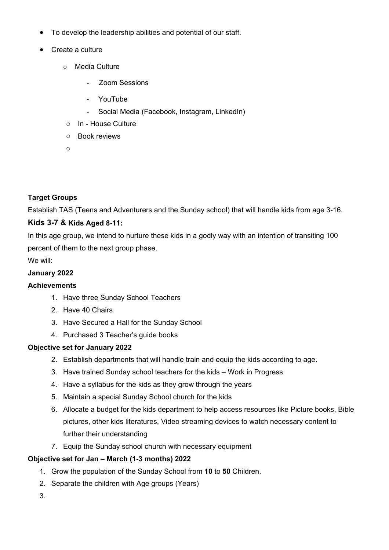- To develop the leadership abilities and potential of our staff.
- Create a culture
	- o Media Culture
		- Zoom Sessions
		- YouTube
		- Social Media (Facebook, Instagram, LinkedIn)
	- o In House Culture
	- o Book reviews
	- o

# **Target Groups**

Establish TAS (Teens and Adventurers and the Sunday school) that will handle kids from age 3-16.

# **Kids 3-7 & Kids Aged 8-11:**

In this age group, we intend to nurture these kids in a godly way with an intention of transiting 100 percent of them to the next group phase.

We will:

# **January 2022**

## **Achievements**

- 1. Have three Sunday School Teachers
- 2. Have 40 Chairs
- 3. Have Secured a Hall for the Sunday School
- 4. Purchased 3 Teacher's guide books

## **Objective set for January 2022**

- 2. Establish departments that will handle train and equip the kids according to age.
- 3. Have trained Sunday school teachers for the kids Work in Progress
- 4. Have a syllabus for the kids as they grow through the years
- 5. Maintain a special Sunday School church for the kids
- 6. Allocate a budget for the kids department to help access resources like Picture books, Bible pictures, other kids literatures, Video streaming devices to watch necessary content to further their understanding
- 7. Equip the Sunday school church with necessary equipment

## **Objective set for Jan – March (1-3 months) 2022**

- 1. Grow the population of the Sunday School from **10** to **50** Children.
- 2. Separate the children with Age groups (Years)
- 3.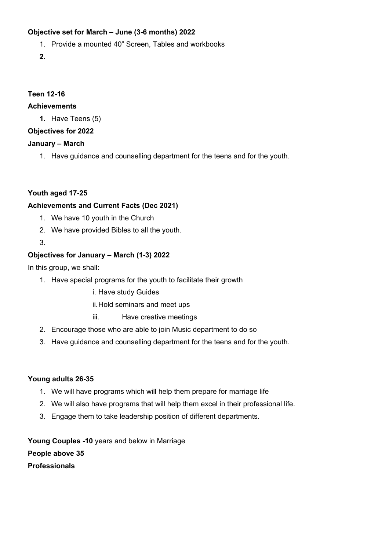# **Objective set for March – June (3-6 months) 2022**

- 1. Provide a mounted 40" Screen, Tables and workbooks
- **2.**

# **Teen 12-16**

# **Achievements**

**1.** Have Teens (5)

# **Objectives for 2022**

# **January – March**

1. Have guidance and counselling department for the teens and for the youth.

**Youth aged 17-25** 

# **Achievements and Current Facts (Dec 2021)**

- 1. We have 10 youth in the Church
- 2. We have provided Bibles to all the youth.
- 3.

# **Objectives for January – March (1-3) 2022**

In this group, we shall:

- 1. Have special programs for the youth to facilitate their growth
	- i. Have study Guides
	- ii.Hold seminars and meet ups
	- iii. Have creative meetings
- 2. Encourage those who are able to join Music department to do so
- 3. Have guidance and counselling department for the teens and for the youth.

## **Young adults 26-35**

- 1. We will have programs which will help them prepare for marriage life
- 2. We will also have programs that will help them excel in their professional life.
- 3. Engage them to take leadership position of different departments.

**Young Couples -10** years and below in Marriage **People above 35 Professionals**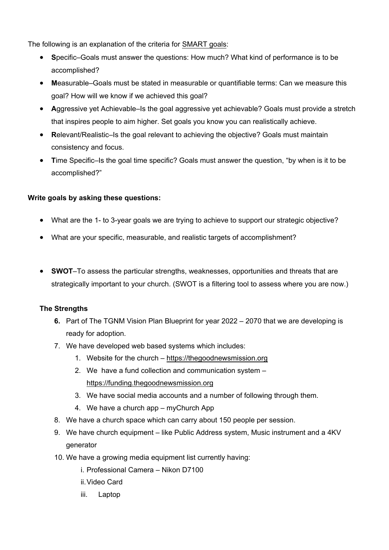The following is an explanation of the criteria for [SMART goals](https://onstrategyhq.com/resources/how-to-set-smart-goals/):

- **S**pecific–Goals must answer the questions: How much? What kind of performance is to be accomplished?
- **M**easurable–Goals must be stated in measurable or quantifiable terms: Can we measure this goal? How will we know if we achieved this goal?
- **A**ggressive yet Achievable–Is the goal aggressive yet achievable? Goals must provide a stretch that inspires people to aim higher. Set goals you know you can realistically achieve.
- **R**elevant/Realistic–Is the goal relevant to achieving the objective? Goals must maintain consistency and focus.
- **T**ime Specific–Is the goal time specific? Goals must answer the question, "by when is it to be accomplished?"

# **Write goals by asking these questions:**

- What are the 1- to 3-year goals we are trying to achieve to support our strategic objective?
- What are your specific, measurable, and realistic targets of accomplishment?
- **SWOT**–To assess the particular strengths, weaknesses, opportunities and threats that are strategically important to your church. (SWOT is a filtering tool to assess where you are now.)

## **The Strengths**

- **6.** Part of The TGNM Vision Plan Blueprint for year 2022 2070 that we are developing is ready for adoption.
- 7. We have developed web based systems which includes:
	- 1. Website for the church <https://thegoodnewsmission.org>
	- 2. We have a fund collection and communication system <https://funding.thegoodnewsmission.org>
	- 3. We have social media accounts and a number of following through them.
	- 4. We have a church app myChurch App
- 8. We have a church space which can carry about 150 people per session.
- 9. We have church equipment like Public Address system, Music instrument and a 4KV generator
- 10. We have a growing media equipment list currently having:
	- i. Professional Camera Nikon D7100
	- ii.Video Card
	- iii. Laptop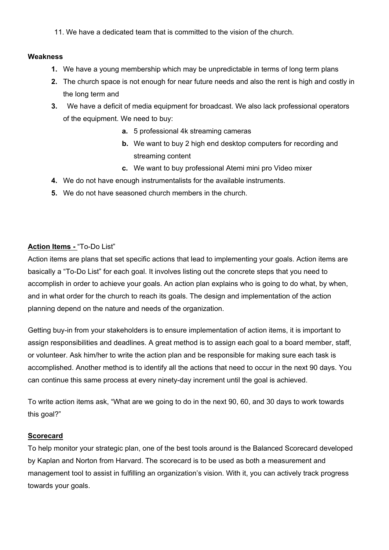11. We have a dedicated team that is committed to the vision of the church.

#### **Weakness**

- **1.** We have a young membership which may be unpredictable in terms of long term plans
- **2.** The church space is not enough for near future needs and also the rent is high and costly in the long term and
- **3.** We have a deficit of media equipment for broadcast. We also lack professional operators of the equipment. We need to buy:
	- **a.** 5 professional 4k streaming cameras
	- **b.** We want to buy 2 high end desktop computers for recording and streaming content
	- **c.** We want to buy professional Atemi mini pro Video mixer
- **4.** We do not have enough instrumentalists for the available instruments.
- **5.** We do not have seasoned church members in the church.

# **[Action Items](https://onstrategyhq.com/resources/how-to-develop-action-plans/) -** "To-Do List"

Action items are plans that set specific actions that lead to implementing your goals. Action items are basically a "To-Do List" for each goal. It involves listing out the concrete steps that you need to accomplish in order to achieve your goals. An action plan explains who is going to do what, by when, and in what order for the church to reach its goals. The design and implementation of the action planning depend on the nature and needs of the organization.

Getting buy-in from your stakeholders is to ensure implementation of action items, it is important to assign responsibilities and deadlines. A great method is to assign each goal to a board member, staff, or volunteer. Ask him/her to write the action plan and be responsible for making sure each task is accomplished. Another method is to identify all the actions that need to occur in the next 90 days. You can continue this same process at every ninety-day increment until the goal is achieved.

To write action items ask, "What are we going to do in the next 90, 60, and 30 days to work towards this goal?"

#### **[Scorecard](https://onstrategyhq.com/resources/strategic-planning-with-the-balanced-scorecard/)**

To help monitor your strategic plan, one of the best tools around is the Balanced Scorecard developed by Kaplan and Norton from Harvard. The scorecard is to be used as both a measurement and management tool to assist in fulfilling an organization's vision. With it, you can actively track progress towards your goals.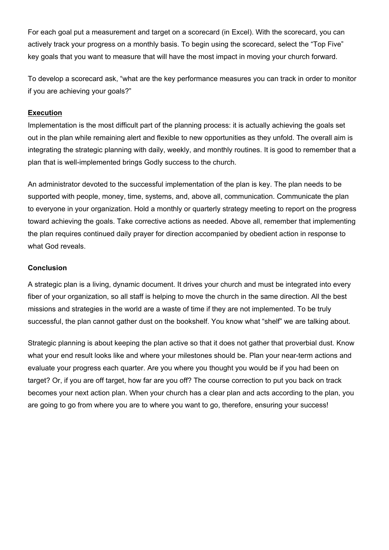For each goal put a measurement and target on a scorecard (in Excel). With the scorecard, you can actively track your progress on a monthly basis. To begin using the scorecard, select the "Top Five" key goals that you want to measure that will have the most impact in moving your church forward.

To develop a scorecard ask, "what are the key performance measures you can track in order to monitor if you are achieving your goals?"

## **[Execution](https://onstrategyhq.com/resources/topic/implementation/)**

Implementation is the most difficult part of the planning process: it is actually achieving the goals set out in the plan while remaining alert and flexible to new opportunities as they unfold. The overall aim is integrating the strategic planning with daily, weekly, and monthly routines. It is good to remember that a plan that is well-implemented brings Godly success to the church.

An administrator devoted to the successful implementation of the plan is key. The plan needs to be supported with people, money, time, systems, and, above all, communication. Communicate the plan to everyone in your organization. Hold a monthly or quarterly strategy meeting to report on the progress toward achieving the goals. Take corrective actions as needed. Above all, remember that implementing the plan requires continued daily prayer for direction accompanied by obedient action in response to what God reveals.

#### **Conclusion**

A strategic plan is a living, dynamic document. It drives your church and must be integrated into every fiber of your organization, so all staff is helping to move the church in the same direction. All the best missions and strategies in the world are a waste of time if they are not implemented. To be truly successful, the plan cannot gather dust on the bookshelf. You know what "shelf" we are talking about.

Strategic planning is about keeping the plan active so that it does not gather that proverbial dust. Know what your end result looks like and where your milestones should be. Plan your near-term actions and evaluate your progress each quarter. Are you where you thought you would be if you had been on target? Or, if you are off target, how far are you off? The course correction to put you back on track becomes your next action plan. When your church has a clear plan and acts according to the plan, you are going to go from where you are to where you want to go, therefore, ensuring your success!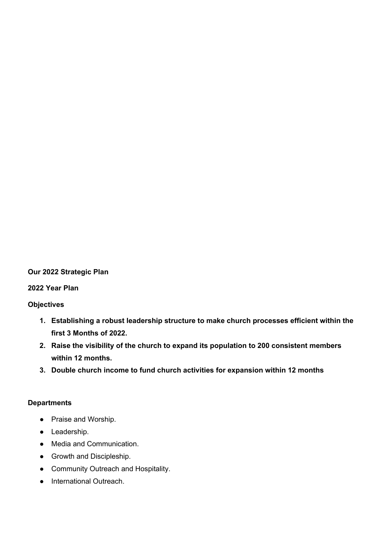#### **Our 2022 Strategic Plan**

#### **2022 Year Plan**

#### **Objectives**

- **1. Establishing a robust leadership structure to make church processes efficient within the first 3 Months of 2022.**
- **2. Raise the visibility of the church to expand its population to 200 consistent members within 12 months.**
- **3. Double church income to fund church activities for expansion within 12 months**

#### **Departments**

- Praise and Worship.
- Leadership.
- Media and Communication.
- Growth and Discipleship.
- Community Outreach and Hospitality.
- International Outreach.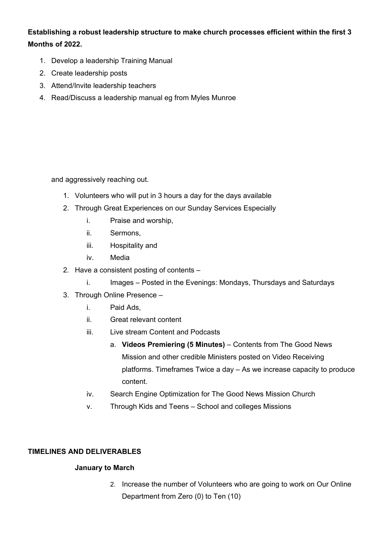# **Establishing a robust leadership structure to make church processes efficient within the first 3 Months of 2022.**

- 1. Develop a leadership Training Manual
- 2. Create leadership posts
- 3. Attend/Invite leadership teachers
- 4. Read/Discuss a leadership manual eg from Myles Munroe

and aggressively reaching out.

- 1. Volunteers who will put in 3 hours a day for the days available
- 2. Through Great Experiences on our Sunday Services Especially
	- i. Praise and worship,
	- ii. Sermons,
	- iii. Hospitality and
	- iv. Media
- 2. Have a consistent posting of contents
	- i. Images Posted in the Evenings: Mondays, Thursdays and Saturdays
- 3. Through Online Presence
	- i. Paid Ads,
	- ii. Great relevant content
	- iii. Live stream Content and Podcasts
		- a. **Videos Premiering (5 Minutes)** Contents from The Good News Mission and other credible Ministers posted on Video Receiving platforms. Timeframes Twice a day – As we increase capacity to produce content.
	- iv. Search Engine Optimization for The Good News Mission Church
	- v. Through Kids and Teens School and colleges Missions

## **TIMELINES AND DELIVERABLES**

## **January to March**

2. Increase the number of Volunteers who are going to work on Our Online Department from Zero (0) to Ten (10)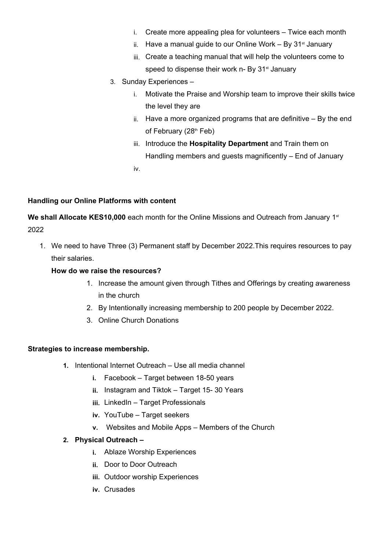- i. Create more appealing plea for volunteers Twice each month
- ii. Have a manual guide to our Online Work  $-$  By 31 $<sup>st</sup>$  January</sup>
- iii. Create a teaching manual that will help the volunteers come to speed to dispense their work n- By 31<sup>st</sup> January
- 3. Sunday Experiences
	- i. Motivate the Praise and Worship team to improve their skills twice the level they are
	- ii. Have a more organized programs that are definitive By the end of February (28<sup>th</sup> Feb)
	- iii. Introduce the **Hospitality Department** and Train them on Handling members and guests magnificently – End of January iv.

## **Handling our Online Platforms with content**

We shall Allocate KES10,000 each month for the Online Missions and Outreach from January 1<sup>st</sup> 2022

1. We need to have Three (3) Permanent staff by December 2022.This requires resources to pay their salaries.

## **How do we raise the resources?**

- 1. Increase the amount given through Tithes and Offerings by creating awareness in the church
- 2. By Intentionally increasing membership to 200 people by December 2022.
- 3. Online Church Donations

#### **Strategies to increase membership.**

- **1.** Intentional Internet Outreach Use all media channel
	- **i.** Facebook Target between 18-50 years
	- **ii.** Instagram and Tiktok Target 15- 30 Years
	- **iii.** LinkedIn Target Professionals
	- **iv.** YouTube Target seekers
	- **v.** Websites and Mobile Apps Members of the Church

#### **2. Physical Outreach –**

- **i.** Ablaze Worship Experiences
- **ii.** Door to Door Outreach
- **iii.** Outdoor worship Experiences
- **iv.** Crusades